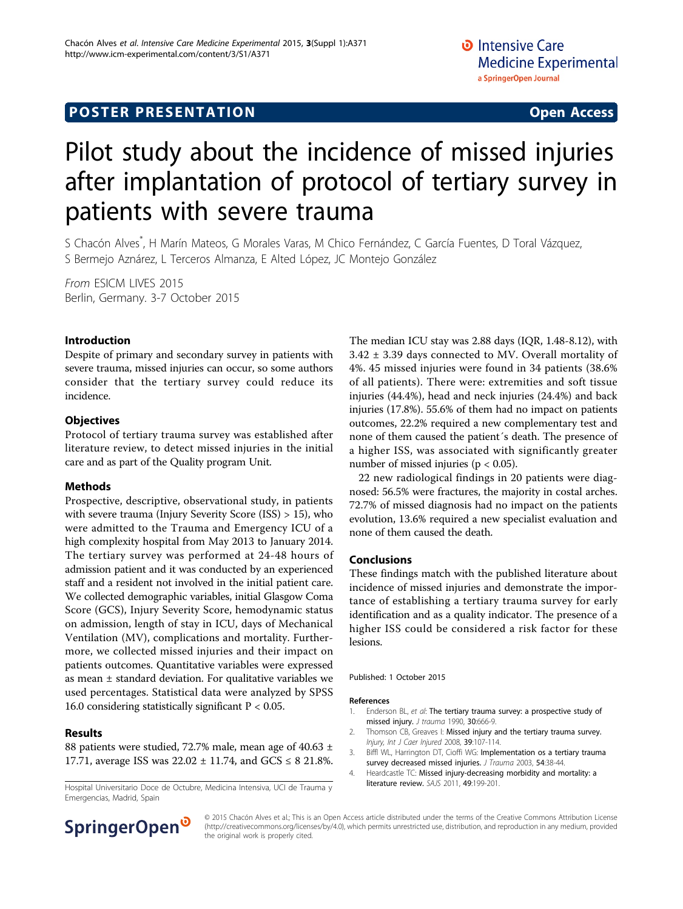## **POSTER PRESENTATION CONSUMING ACCESS**

# Pilot study about the incidence of missed injuries after implantation of protocol of tertiary survey in patients with severe trauma

S Chacón Alves\* , H Marín Mateos, G Morales Varas, M Chico Fernández, C García Fuentes, D Toral Vázquez, S Bermejo Aznárez, L Terceros Almanza, E Alted López, JC Montejo González

From ESICM LIVES 2015 Berlin, Germany. 3-7 October 2015

#### Introduction

Despite of primary and secondary survey in patients with severe trauma, missed injuries can occur, so some authors consider that the tertiary survey could reduce its incidence.

#### **Objectives**

Protocol of tertiary trauma survey was established after literature review, to detect missed injuries in the initial care and as part of the Quality program Unit.

#### Methods

Prospective, descriptive, observational study, in patients with severe trauma (Injury Severity Score (ISS) > 15), who were admitted to the Trauma and Emergency ICU of a high complexity hospital from May 2013 to January 2014. The tertiary survey was performed at 24-48 hours of admission patient and it was conducted by an experienced staff and a resident not involved in the initial patient care. We collected demographic variables, initial Glasgow Coma Score (GCS), Injury Severity Score, hemodynamic status on admission, length of stay in ICU, days of Mechanical Ventilation (MV), complications and mortality. Furthermore, we collected missed injuries and their impact on patients outcomes. Quantitative variables were expressed as mean ± standard deviation. For qualitative variables we used percentages. Statistical data were analyzed by SPSS 16.0 considering statistically significant  $P < 0.05$ .

#### Results

88 patients were studied, 72.7% male, mean age of 40.63  $\pm$ 17.71, average ISS was  $22.02 \pm 11.74$ , and  $GCS \leq 821.8\%$ .

literature review. SAJS 2011, <sup>49</sup>:199-201. Hospital Universitario Doce de Octubre, Medicina Intensiva, UCI de Trauma y Emergencias, Madrid, Spain

The median ICU stay was 2.88 days (IQR, 1.48-8.12), with 3.42 ± 3.39 days connected to MV. Overall mortality of 4%. 45 missed injuries were found in 34 patients (38.6% of all patients). There were: extremities and soft tissue injuries (44.4%), head and neck injuries (24.4%) and back injuries (17.8%). 55.6% of them had no impact on patients outcomes, 22.2% required a new complementary test and none of them caused the patient´s death. The presence of a higher ISS, was associated with significantly greater number of missed injuries ( $p < 0.05$ ).

22 new radiological findings in 20 patients were diagnosed: 56.5% were fractures, the majority in costal arches. 72.7% of missed diagnosis had no impact on the patients evolution, 13.6% required a new specialist evaluation and none of them caused the death.

#### Conclusions

These findings match with the published literature about incidence of missed injuries and demonstrate the importance of establishing a tertiary trauma survey for early identification and as a quality indicator. The presence of a higher ISS could be considered a risk factor for these lesions.

Published: 1 October 2015

#### References

- 1. Enderson BL, et al: [The tertiary trauma survey: a prospective study of](http://www.ncbi.nlm.nih.gov/pubmed/2352294?dopt=Abstract) [missed injury.](http://www.ncbi.nlm.nih.gov/pubmed/2352294?dopt=Abstract) J trauma 1990, 30:666-9.
- 2. Thomson CB, Greaves I: Missed injury and the tertiary trauma survey. Injury, Int J Caer Injured 2008, 39:107-114.
- 3. Biffl WL, Harrington DT, Cioffi WG: [Implementation os a tertiary trauma](http://www.ncbi.nlm.nih.gov/pubmed/12544897?dopt=Abstract) [survey decreased missed injuries.](http://www.ncbi.nlm.nih.gov/pubmed/12544897?dopt=Abstract) J Trauma 2003, 54:38-44
- 4. Heardcastle TC: Missed injury-decreasing morbidity and mortality: a



© 2015 Chacón Alves et al.; This is an Open Access article distributed under the terms of the Creative Commons Attribution License [\(http://creativecommons.org/licenses/by/4.0](http://creativecommons.org/licenses/by/4.0)), which permits unrestricted use, distribution, and reproduction in any medium, provided the original work is properly cited.